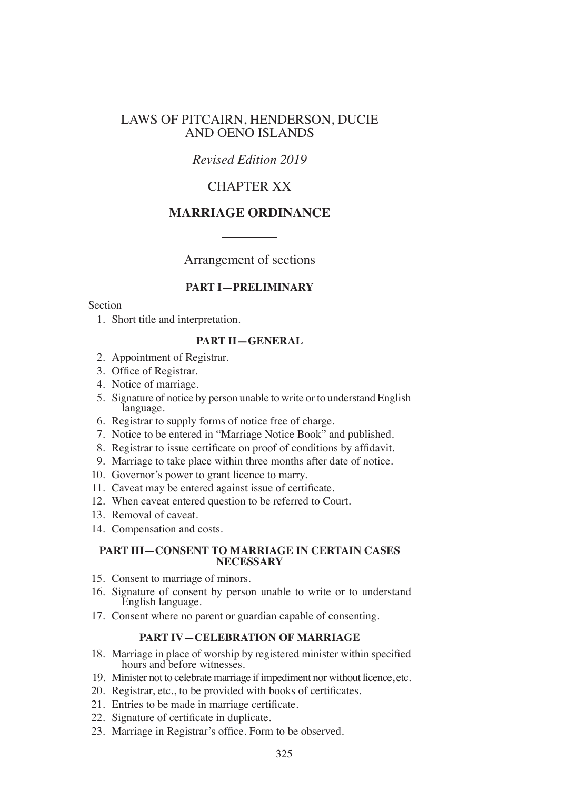## LAWS OF PITCAIRN, HENDERSON, DUCIE AND OENO ISLANDS

# *Revised Edition 2019*

# CHAPTER XX

# **MARRIAGE ORDINANCE**

Arrangement of sections

#### **PART I—PRELIMINARY**

#### Section

1. Short title and interpretation.

#### **PART II—GENERAL**

- 2. Appointment of Registrar.
- 3. Office of Registrar.
- 4. Notice of marriage.
- 5. Signature of notice by person unable to write or to understand English language.
- 6. Registrar to supply forms of notice free of charge.
- 7. Notice to be entered in "Marriage Notice Book" and published.
- 8. Registrar to issue certifcate on proof of conditions by affdavit.
- 9. Marriage to take place within three months after date of notice.
- 10. Governor's power to grant licence to marry.
- 11. Caveat may be entered against issue of certifcate.
- 12. When caveat entered question to be referred to Court.
- 13. Removal of caveat.
- 14. Compensation and costs.

#### **PART III—CONSENT TO MARRIAGE IN CERTAIN CASES NECESSARY**

- 15. Consent to marriage of minors.
- 16. Signature of consent by person unable to write or to understand English language.
- 17. Consent where no parent or guardian capable of consenting.

#### **PART IV—CELEBRATION OF MARRIAGE**

- 18. Marriage in place of worship by registered minister within specifed hours and before witnesses.
- 19. Minister not to celebrate marriage if impediment nor without licence, etc.
- 20. Registrar, etc., to be provided with books of certifcates.
- 21. Entries to be made in marriage certifcate.
- 22. Signature of certifcate in duplicate.
- 23. Marriage in Registrar's office. Form to be observed.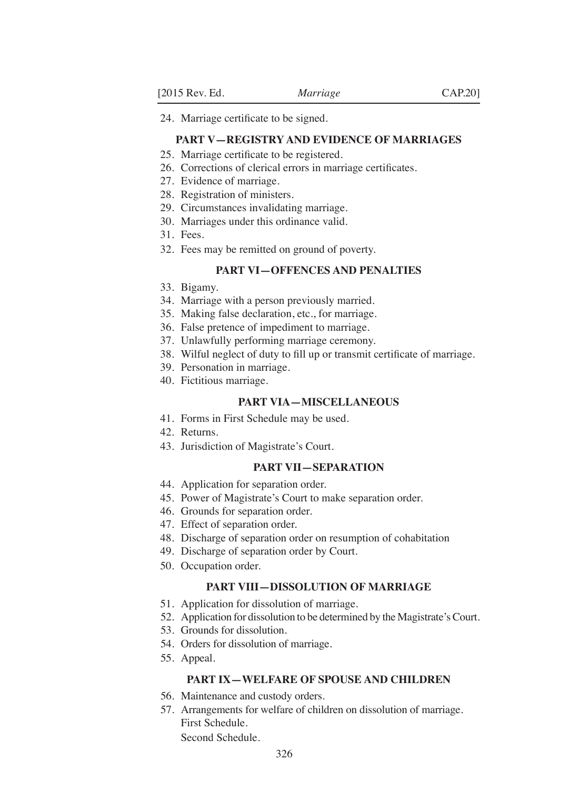24. Marriage certifcate to be signed.

#### **PART V—REGISTRY AND EVIDENCE OF MARRIAGES**

- 25. Marriage certifcate to be registered.
- 26. Corrections of clerical errors in marriage certifcates.
- 27. Evidence of marriage.
- 28. Registration of ministers.
- 29. Circumstances invalidating marriage.
- 30. Marriages under this ordinance valid.
- 31. Fees.
- 32. Fees may be remitted on ground of poverty.

#### **PART VI—OFFENCES AND PENALTIES**

- 33. Bigamy.
- 34. Marriage with a person previously married.
- 35. Making false declaration, etc., for marriage.
- 36. False pretence of impediment to marriage.
- 37. Unlawfully performing marriage ceremony.
- 38. Wilful neglect of duty to fll up or transmit certifcate of marriage.
- 39. Personation in marriage.
- 40. Fictitious marriage.

#### **PART VIA—MISCELLANEOUS**

- 41. Forms in First Schedule may be used.
- 42. Returns.
- 43. Jurisdiction of Magistrate's Court.

#### **PART VII—SEPARATION**

- 44. Application for separation order.
- 45. Power of Magistrate's Court to make separation order.
- 46. Grounds for separation order.
- 47. Effect of separation order.
- 48. Discharge of separation order on resumption of cohabitation
- 49. Discharge of separation order by Court.
- 50. Occupation order.

#### **PART VIII—DISSOLUTION OF MARRIAGE**

- 51. Application for dissolution of marriage.
- 52. Application for dissolution to be determined by the Magistrate's Court.
- 53. Grounds for dissolution.
- 54. Orders for dissolution of marriage.
- 55. Appeal.

#### **PART IX—WELFARE OF SPOUSE AND CHILDREN**

- 56. Maintenance and custody orders.
- 57. Arrangements for welfare of children on dissolution of marriage. First Schedule.

Second Schedule.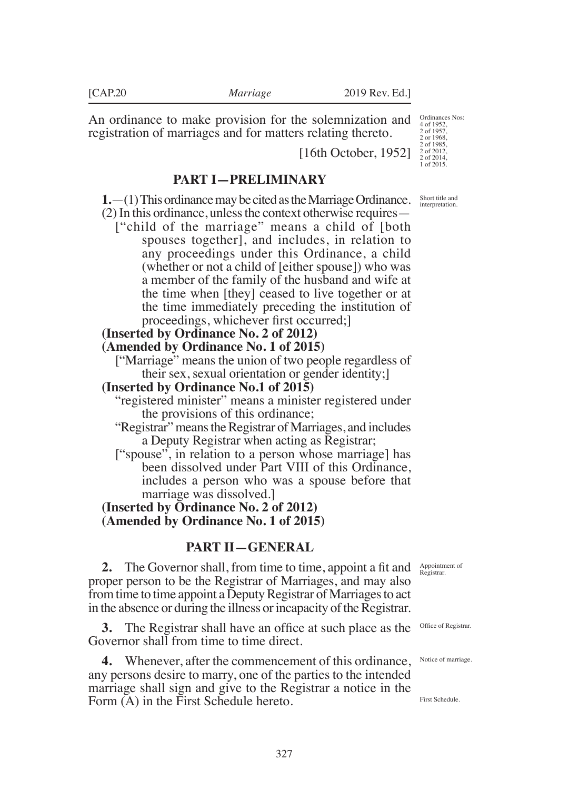An ordinance to make provision for the solemnization and registration of marriages and for matters relating thereto.

[16th October, 1952]

# **PART I—PRELIMINARY**

**1.**—(1) This ordinance may be cited as the Marriage Ordinance. (2) In this ordinance, unless the context otherwise requires—

["child of the marriage" means a child of [both spouses together], and includes, in relation to any proceedings under this Ordinance, a child (whether or not a child of [either spouse]) who was a member of the family of the husband and wife at the time when [they] ceased to live together or at the time immediately preceding the institution of proceedings, whichever first occurred;

# **(Inserted by Ordinance No. 2 of 2012)**

**(Amended by Ordinance No. 1 of 2015)**

["Marriage" means the union of two people regardless of their sex, sexual orientation or gender identity;]

- **(Inserted by Ordinance No.1 of 2015)**
	- "registered minister" means a minister registered under the provisions of this ordinance;
	- "Registrar" means the Registrar of Marriages, and includes a Deputy Registrar when acting as Registrar;
	- ["spouse", in relation to a person whose marriage] has been dissolved under Part VIII of this Ordinance, includes a person who was a spouse before that marriage was dissolved.]

**(Inserted by Ordinance No. 2 of 2012) (Amended by Ordinance No. 1 of 2015)**

# **PART II—GENERAL**

**2.** The Governor shall, from time to time, appoint a fit and  $\frac{Appointment of Registrar}{Registrar}$ proper person to be the Registrar of Marriages, and may also from time to time appoint a Deputy Registrar of Marriages to act in the absence or during the illness or incapacity of the Registrar.

**3.** The Registrar shall have an office at such place as the <sup>Office of Registrar</sub></sup> Governor shall from time to time direct.

**4.** Whenever, after the commencement of this ordinance, any persons desire to marry, one of the parties to the intended marriage shall sign and give to the Registrar a notice in the Form (A) in the First Schedule hereto.

Short title and interpretation.

Ordinances Nos: 4 of 1952, 2 of 1957, 2 or 1968, 2 of 1985, 2 of 2012, 2 of 2014, 1 of 2015.

Notice of marriage.

First Schedule.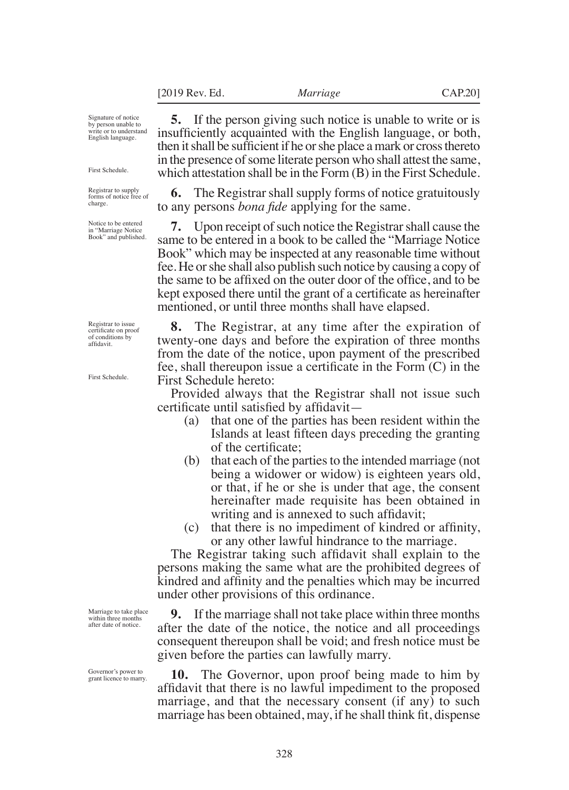Signature of notice by person unable to write or to understand English language.

First Schedule.

Registrar to supply forms of notice free of charge.

Notice to be entered in "Marriage Notice Book" and published.

Registrar to issue certifcate on proof of conditions by affdavit.

First Schedule.

Marriage to take place within three months after date of notice.

Governor's power to grant licence to marry.

**5.** If the person giving such notice is unable to write or is insuffciently acquainted with the English language, or both, then it shall be suffcient if he or she place a mark or cross thereto in the presence of some literate person who shall attest the same, which attestation shall be in the Form (B) in the First Schedule.

**6.** The Registrar shall supply forms of notice gratuitously to any persons *bona fde* applying for the same.

**7.** Upon receipt of such notice the Registrar shall cause the same to be entered in a book to be called the "Marriage Notice Book" which may be inspected at any reasonable time without fee. He or she shall also publish such notice by causing a copy of the same to be affixed on the outer door of the office, and to be kept exposed there until the grant of a certifcate as hereinafter mentioned, or until three months shall have elapsed.

**8.** The Registrar, at any time after the expiration of twenty-one days and before the expiration of three months from the date of the notice, upon payment of the prescribed fee, shall thereupon issue a certifcate in the Form (C) in the First Schedule hereto:

Provided always that the Registrar shall not issue such certifcate until satisfed by affdavit—

- (a) that one of the parties has been resident within the Islands at least ffteen days preceding the granting of the certifcate;
- (b) that each of the parties to the intended marriage (not being a widower or widow) is eighteen years old, or that, if he or she is under that age, the consent hereinafter made requisite has been obtained in writing and is annexed to such affdavit;
- (c) that there is no impediment of kindred or affnity, or any other lawful hindrance to the marriage.

The Registrar taking such affdavit shall explain to the persons making the same what are the prohibited degrees of kindred and affnity and the penalties which may be incurred under other provisions of this ordinance.

**9.** If the marriage shall not take place within three months after the date of the notice, the notice and all proceedings consequent thereupon shall be void; and fresh notice must be given before the parties can lawfully marry.

**10.** The Governor, upon proof being made to him by affdavit that there is no lawful impediment to the proposed marriage, and that the necessary consent (if any) to such marriage has been obtained, may, if he shall think ft, dispense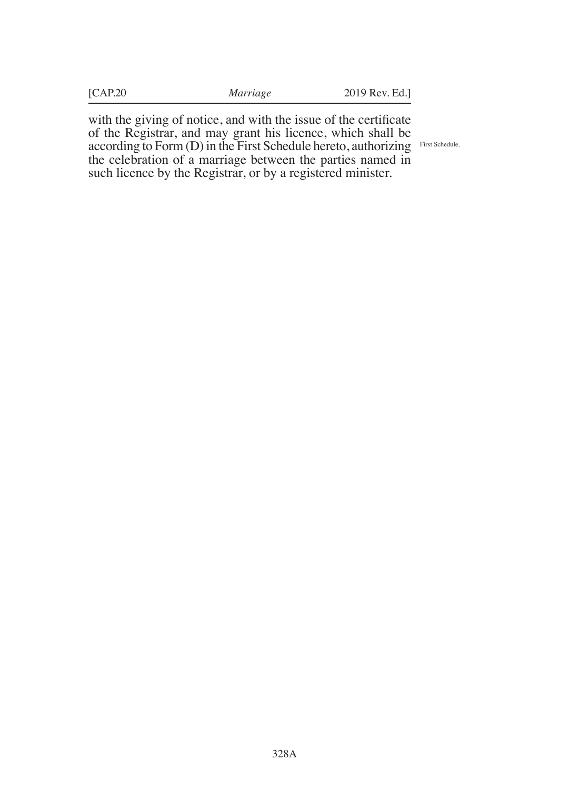| .,<br><b>AF</b> |  |
|-----------------|--|
|                 |  |

with the giving of notice, and with the issue of the certifcate of the Registrar, and may grant his licence, which shall be according to Form (D) in the First Schedule hereto, authorizing First Schedule the celebration of a marriage between the parties named in such licence by the Registrar, or by a registered minister.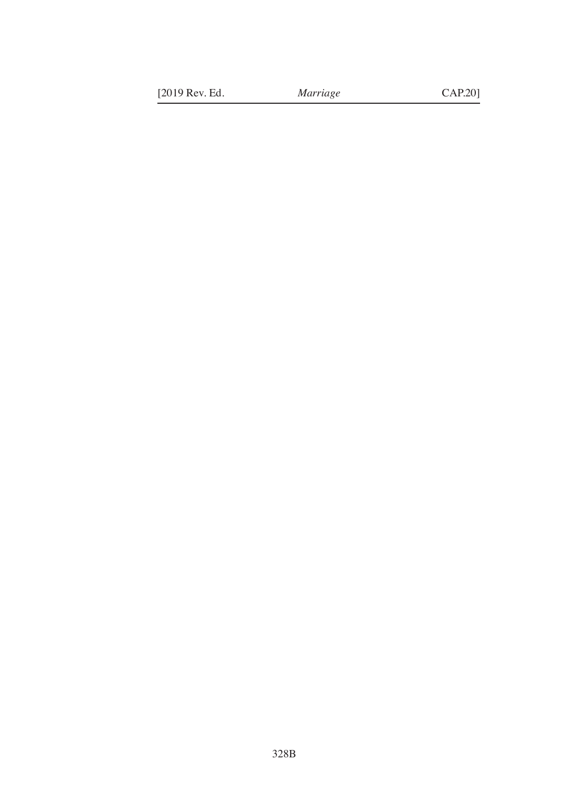[2019 Rev. Ed. *Marriage* CAP.20]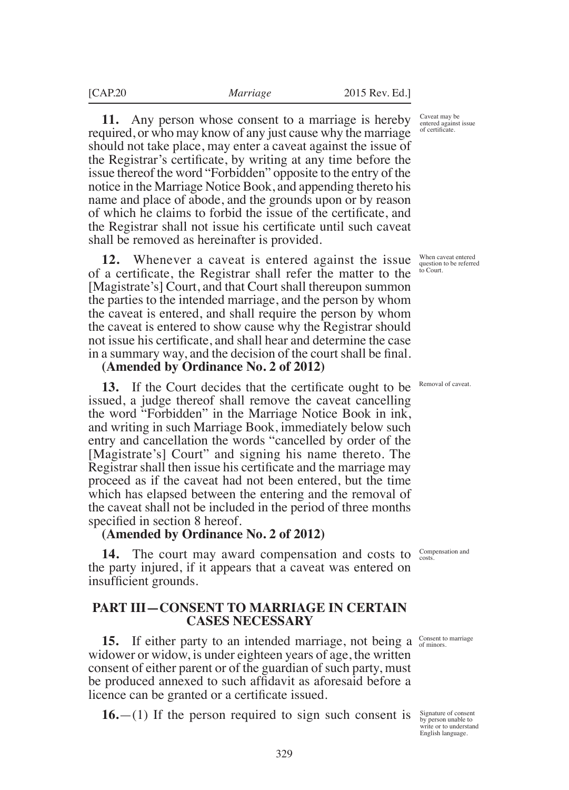**11.** Any person whose consent to a marriage is hereby required, or who may know of any just cause why the marriage should not take place, may enter a caveat against the issue of the Registrar's certifcate, by writing at any time before the issue thereof the word "Forbidden" opposite to the entry of the notice in the Marriage Notice Book, and appending thereto his name and place of abode, and the grounds upon or by reason of which he claims to forbid the issue of the certifcate, and the Registrar shall not issue his certifcate until such caveat shall be removed as hereinafter is provided.

**12.** Whenever a caveat is entered against the issue of a certifcate, the Registrar shall refer the matter to the [Magistrate's] Court, and that Court shall thereupon summon the parties to the intended marriage, and the person by whom the caveat is entered, and shall require the person by whom the caveat is entered to show cause why the Registrar should not issue his certifcate, and shall hear and determine the case in a summary way, and the decision of the court shall be fnal.

### **(Amended by Ordinance No. 2 of 2012)**

**13.** If the Court decides that the certifcate ought to be issued, a judge thereof shall remove the caveat cancelling the word "Forbidden" in the Marriage Notice Book in ink, and writing in such Marriage Book, immediately below such entry and cancellation the words "cancelled by order of the [Magistrate's] Court" and signing his name thereto. The Registrar shall then issue his certifcate and the marriage may proceed as if the caveat had not been entered, but the time which has elapsed between the entering and the removal of the caveat shall not be included in the period of three months specifed in section 8 hereof.

#### **(Amended by Ordinance No. 2 of 2012)**

**14.** The court may award compensation and costs to  $\frac{\text{Com}}{\text{costs}}$ the party injured, if it appears that a caveat was entered on insufficient grounds.

## **PART III—CONSENT TO MARRIAGE IN CERTAIN CASES NECESSARY**

**15.** If either party to an intended marriage, not being a Consent to marriage widower or widow, is under eighteen years of age, the written consent of either parent or of the guardian of such party, must be produced annexed to such affdavit as aforesaid before a licence can be granted or a certifcate issued.

**16.**—(1) If the person required to sign such consent is

Caveat may be entered against issue of certifcate.

When caveat entered question to be referred to Court.

Removal of caveat.

Compensation and

Signature of consent by person unable to write or to understand English language.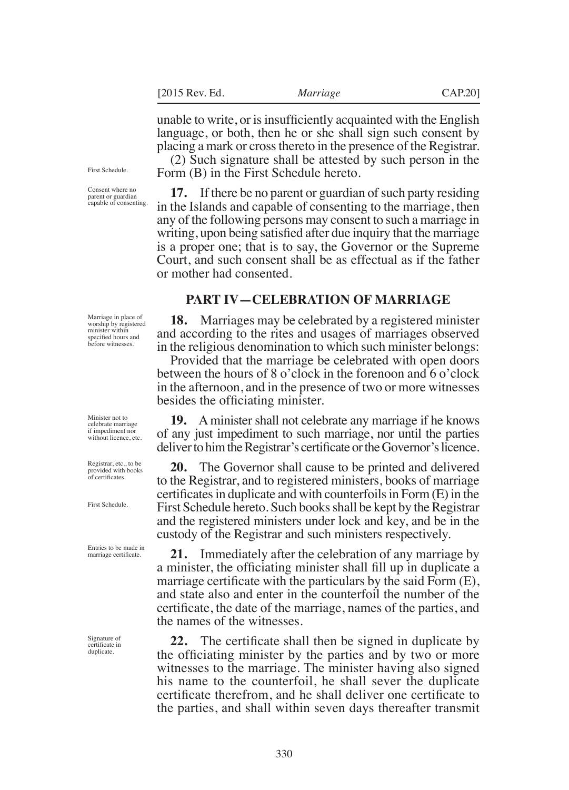(2) Such signature shall be attested by such person in the Form (B) in the First Schedule hereto.

**17.** If there be no parent or guardian of such party residing in the Islands and capable of consenting to the marriage, then any of the following persons may consent to such a marriage in writing, upon being satisfed after due inquiry that the marriage is a proper one; that is to say, the Governor or the Supreme Court, and such consent shall be as effectual as if the father or mother had consented.

#### **PART IV—CELEBRATION OF MARRIAGE**

**18.** Marriages may be celebrated by a registered minister and according to the rites and usages of marriages observed in the religious denomination to which such minister belongs:

Provided that the marriage be celebrated with open doors between the hours of 8 o'clock in the forenoon and 6 o'clock in the afternoon, and in the presence of two or more witnesses besides the offciating minister.

**19.** A minister shall not celebrate any marriage if he knows of any just impediment to such marriage, nor until the parties deliver to him the Registrar's certifcate or the Governor's licence.

**20.** The Governor shall cause to be printed and delivered to the Registrar, and to registered ministers, books of marriage certifcates in duplicate and with counterfoils in Form (E) in the First Schedule hereto. Such books shall be kept by the Registrar and the registered ministers under lock and key, and be in the custody of the Registrar and such ministers respectively.

**21.** Immediately after the celebration of any marriage by a minister, the offciating minister shall fll up in duplicate a marriage certifcate with the particulars by the said Form (E), and state also and enter in the counterfoil the number of the certifcate, the date of the marriage, names of the parties, and the names of the witnesses.

**22.** The certifcate shall then be signed in duplicate by the officiating minister by the parties and by two or more witnesses to the marriage. The minister having also signed his name to the counterfoil, he shall sever the duplicate certifcate therefrom, and he shall deliver one certifcate to the parties, and shall within seven days thereafter transmit

First Schedule.

Consent where no parent or guardian capable of consenting.

Marriage in place of worship by registered minister within specified hours and before witnesses.

Minister not to celebrate marriage if impediment nor without licence, etc.

Registrar, etc., to be provided with books of certifcates.

First Schedule.

Entries to be made in marriage certifcate.

Signature of certificate in duplicate.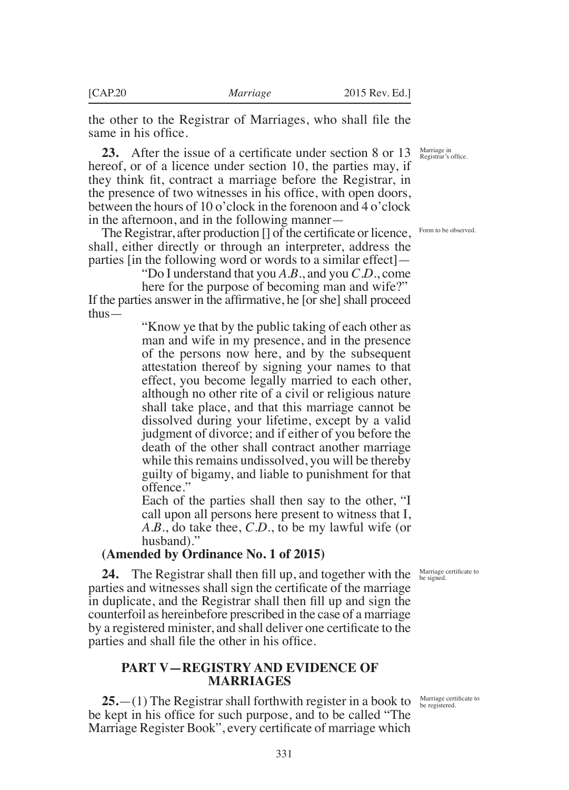the other to the Registrar of Marriages, who shall fle the same in his office.

**23.** After the issue of a certifcate under section 8 or 13 hereof, or of a licence under section 10, the parties may, if they think ft, contract a marriage before the Registrar, in the presence of two witnesses in his office, with open doors, between the hours of 10 o'clock in the forenoon and 4 o'clock in the afternoon, and in the following manner—

The Registrar, after production  $\iota$  of the certificate or licence, shall, either directly or through an interpreter, address the parties [in the following word or words to a similar effect]—

"Do I understand that you *A.B.*, and you *C.D.*, come

here for the purpose of becoming man and wife?" If the parties answer in the affirmative, he  $[or she]$  shall proceed thus—

> "Know ye that by the public taking of each other as man and wife in my presence, and in the presence of the persons now here, and by the subsequent attestation thereof by signing your names to that effect, you become legally married to each other, although no other rite of a civil or religious nature shall take place, and that this marriage cannot be dissolved during your lifetime, except by a valid judgment of divorce; and if either of you before the death of the other shall contract another marriage while this remains undissolved, you will be thereby guilty of bigamy, and liable to punishment for that offence."

> Each of the parties shall then say to the other, "I call upon all persons here present to witness that I, *A.B.*, do take thee, *C.D.*, to be my lawful wife (or husband)."

### **(Amended by Ordinance No. 1 of 2015)**

**24.** The Registrar shall then fill up, and together with the Marriage certificate to parties and witnesses shall sign the certifcate of the marriage in duplicate, and the Registrar shall then fll up and sign the counterfoil as hereinbefore prescribed in the case of a marriage by a registered minister, and shall deliver one certifcate to the parties and shall file the other in his office.

## **PART V—REGISTRY AND EVIDENCE OF MARRIAGES**

**25.**—(1) The Registrar shall forthwith register in a book to be kept in his office for such purpose, and to be called "The Marriage Register Book", every certifcate of marriage which

Marriage in namage *m*<br>Registrar's office.

Form to be observed.

Marriage certifcate to be registered.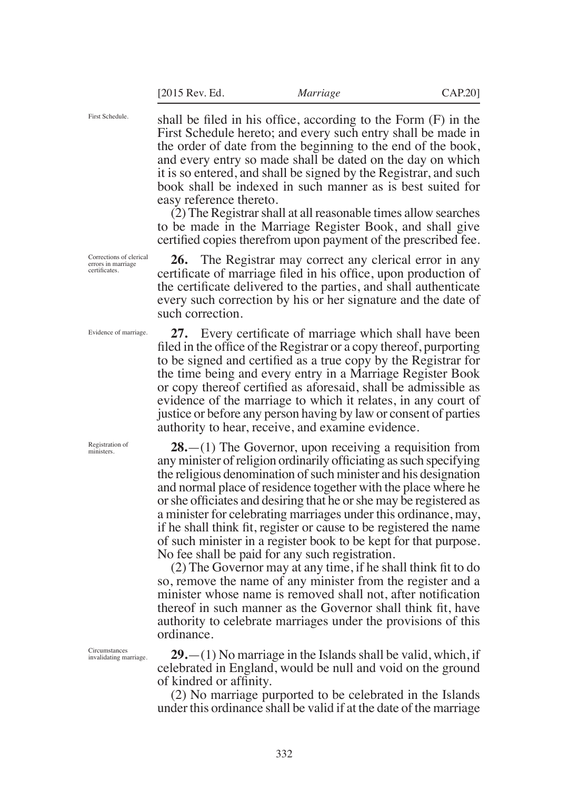First Schedule.

shall be filed in his office, according to the Form  $(F)$  in the First Schedule hereto; and every such entry shall be made in the order of date from the beginning to the end of the book, and every entry so made shall be dated on the day on which it is so entered, and shall be signed by the Registrar, and such book shall be indexed in such manner as is best suited for easy reference thereto.

(2) The Registrar shall at all reasonable times allow searches to be made in the Marriage Register Book, and shall give certifed copies therefrom upon payment of the prescribed fee.

**26.** The Registrar may correct any clerical error in any certificate of marriage filed in his office, upon production of the certifcate delivered to the parties, and shall authenticate every such correction by his or her signature and the date of such correction.

**27.** Every certifcate of marriage which shall have been filed in the office of the Registrar or a copy thereof, purporting to be signed and certifed as a true copy by the Registrar for the time being and every entry in a Marriage Register Book or copy thereof certifed as aforesaid, shall be admissible as evidence of the marriage to which it relates, in any court of justice or before any person having by law or consent of parties authority to hear, receive, and examine evidence.

**28.**—(1) The Governor, upon receiving a requisition from any minister of religion ordinarily offciating as such specifying the religious denomination of such minister and his designation and normal place of residence together with the place where he or she offciates and desiring that he or she may be registered as a minister for celebrating marriages under this ordinance, may, if he shall think ft, register or cause to be registered the name of such minister in a register book to be kept for that purpose. No fee shall be paid for any such registration.

(2) The Governor may at any time, if he shall think ft to do so, remove the name of any minister from the register and a minister whose name is removed shall not, after notifcation thereof in such manner as the Governor shall think ft, have authority to celebrate marriages under the provisions of this ordinance.

**29.**—(1) No marriage in the Islands shall be valid, which, if celebrated in England, would be null and void on the ground of kindred or affnity.

(2) No marriage purported to be celebrated in the Islands under this ordinance shall be valid if at the date of the marriage

Evidence of marriage.

Corrections of clerical errors in marriage certificates.

Registration of isters

Circumstances invalidating marriage.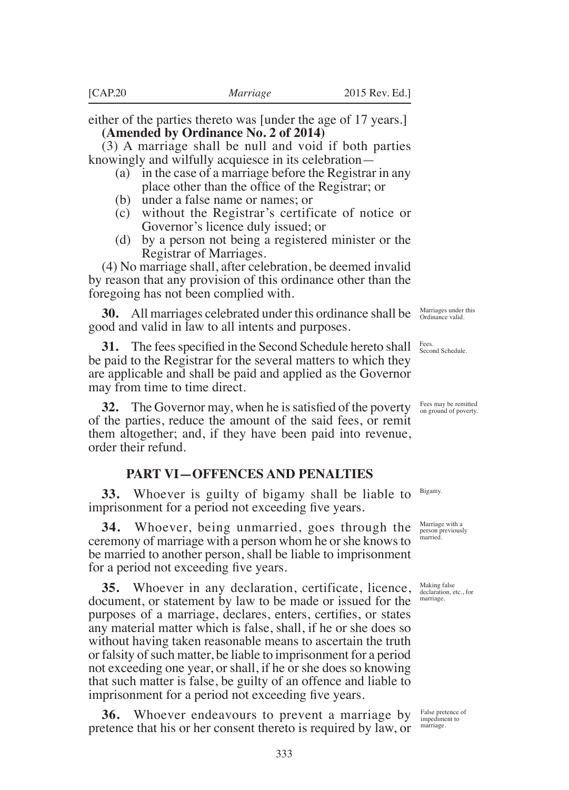either of the parties thereto was [under the age of 17 years.] **(Amended by Ordinance No. 2 of 2014)**

(3) A marriage shall be null and void if both parties knowingly and wilfully acquiesce in its celebration—

- (a) in the case of a marriage before the Registrar in any place other than the offce of the Registrar; or
- (b) under a false name or names; or
- (c) without the Registrar's certificate of notice or Governor's licence duly issued; or
- (d) by a person not being a registered minister or the Registrar of Marriages.

(4) No marriage shall, after celebration, be deemed invalid by reason that any provision of this ordinance other than the foregoing has not been complied with.

**30.** All marriages celebrated under this ordinance shall be Marriages under this good and valid in law to all intents and purposes.

**31.** The fees specified in the Second Schedule hereto shall Second Schedule be paid to the Registrar for the several matters to which they are applicable and shall be paid and applied as the Governor may from time to time direct.

**32.** The Governor may, when he is satisfed of the poverty of the parties, reduce the amount of the said fees, or remit them altogether; and, if they have been paid into revenue, order their refund.

## **PART VI—OFFENCES AND PENALTIES**

**33.** Whoever is guilty of bigamy shall be liable to imprisonment for a period not exceeding five years.

**34.** Whoever, being unmarried, goes through the ceremony of marriage with a person whom he or she knows to be married to another person, shall be liable to imprisonment for a period not exceeding fve years.

**35.** Whoever in any declaration, certificate, licence, document, or statement by law to be made or issued for the purposes of a marriage, declares, enters, certifes, or states any material matter which is false, shall, if he or she does so without having taken reasonable means to ascertain the truth or falsity of such matter, be liable to imprisonment for a period not exceeding one year, or shall, if he or she does so knowing that such matter is false, be guilty of an offence and liable to imprisonment for a period not exceeding five years.

**36.** Whoever endeavours to prevent a marriage by pretence that his or her consent thereto is required by law, or

Fees may be remitted on ground of poverty.

Bigamy.

Marriage with a person previously married.

Making false declaration, etc., for marriage.

False pretence of impediment to marriage.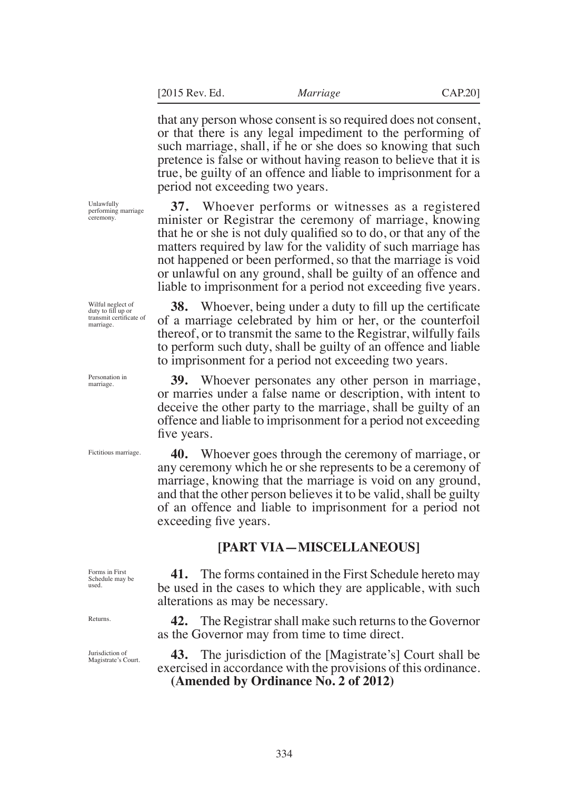that any person whose consent is so required does not consent, or that there is any legal impediment to the performing of such marriage, shall, if he or she does so knowing that such pretence is false or without having reason to believe that it is true, be guilty of an offence and liable to imprisonment for a period not exceeding two years.

**37.** Whoever performs or witnesses as a registered minister or Registrar the ceremony of marriage, knowing that he or she is not duly qualifed so to do, or that any of the matters required by law for the validity of such marriage has not happened or been performed, so that the marriage is void or unlawful on any ground, shall be guilty of an offence and liable to imprisonment for a period not exceeding five years.

**38.** Whoever, being under a duty to fll up the certifcate of a marriage celebrated by him or her, or the counterfoil thereof, or to transmit the same to the Registrar, wilfully fails to perform such duty, shall be guilty of an offence and liable to imprisonment for a period not exceeding two years.

**39.** Whoever personates any other person in marriage, or marries under a false name or description, with intent to deceive the other party to the marriage, shall be guilty of an offence and liable to imprisonment for a period not exceeding five years.

**40.** Whoever goes through the ceremony of marriage, or any ceremony which he or she represents to be a ceremony of marriage, knowing that the marriage is void on any ground, and that the other person believes it to be valid, shall be guilty of an offence and liable to imprisonment for a period not exceeding five years.

## **[PART VIA—MISCELLANEOUS]**

**41.** The forms contained in the First Schedule hereto may be used in the cases to which they are applicable, with such alterations as may be necessary.

**42.** The Registrar shall make such returns to the Governor as the Governor may from time to time direct.

**43.** The jurisdiction of the [Magistrate's] Court shall be exercised in accordance with the provisions of this ordinance. **(Amended by Ordinance No. 2 of 2012)**

Unlawfully performing marriage ceremony.

Wilful neglect of duty to fll up or transmit certifcate of marriage.

Personation in marriage.

Fictitious marriage.

Forms in First Schedule may be used.

Returns.

Jurisdiction of Magistrate's Court.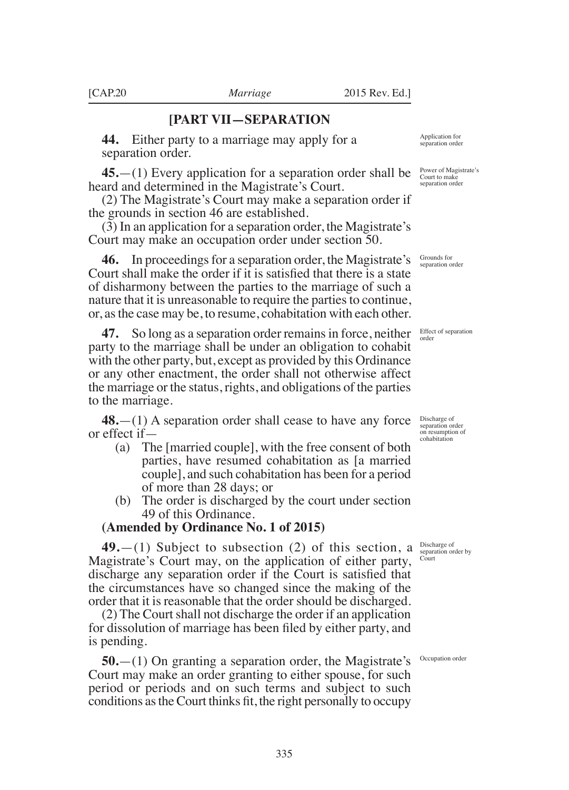## **[PART VII—SEPARATION**

**44.** Either party to a marriage may apply for a separation order.

**45.**—(1) Every application for a separation order shall be  $\frac{Power\ of\ Magi}{Count\ to\ make}$ heard and determined in the Magistrate's Court.

(2) The Magistrate's Court may make a separation order if the grounds in section 46 are established.

(3) In an application for a separation order, the Magistrate's Court may make an occupation order under section 50.

**46.** In proceedings for a separation order, the Magistrate's Court shall make the order if it is satisfed that there is a state of disharmony between the parties to the marriage of such a nature that it is unreasonable to require the parties to continue, or, as the case may be, to resume, cohabitation with each other.

**47.** So long as a separation order remains in force, neither Effect of separation party to the marriage shall be under an obligation to cohabit with the other party, but, except as provided by this Ordinance or any other enactment, the order shall not otherwise affect the marriage or the status, rights, and obligations of the parties to the marriage.

**48.**—(1) A separation order shall cease to have any force or effect if—

- (a) The [married couple], with the free consent of both parties, have resumed cohabitation as [a married couple], and such cohabitation has been for a period of more than 28 days; or
- (b) The order is discharged by the court under section 49 of this Ordinance.

#### **(Amended by Ordinance No. 1 of 2015)**

**49.**—(1) Subject to subsection (2) of this section, a Magistrate's Court may, on the application of either party, discharge any separation order if the Court is satisfed that the circumstances have so changed since the making of the order that it is reasonable that the order should be discharged.

(2) The Court shall not discharge the order if an application for dissolution of marriage has been fled by either party, and is pending.

**50.**—(1) On granting a separation order, the Magistrate's Court may make an order granting to either spouse, for such period or periods and on such terms and subject to such conditions as the Court thinks ft, the right personally to occupy

Application for separation order

Power of Magistrate's separation order

Grounds for separation order

Discharge of separation order on resumption of cohabitation

Discharge of separation order by Court

Occupation order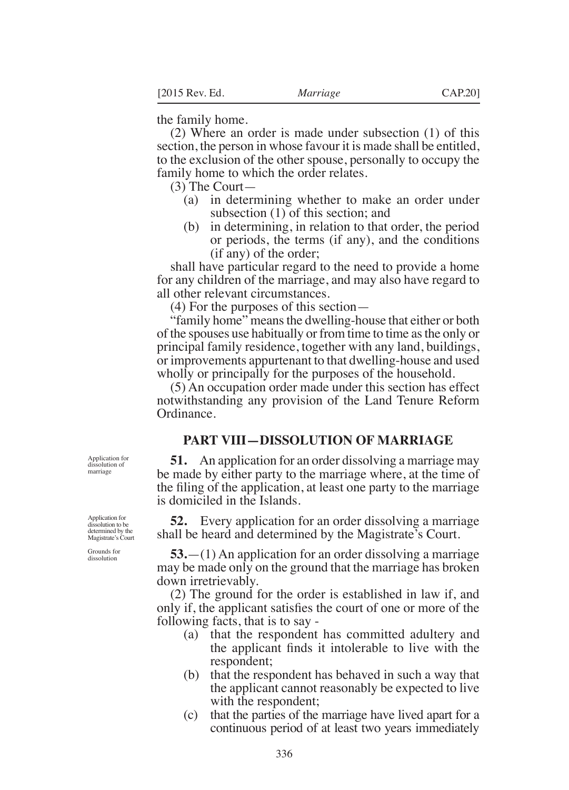the family home.

(2) Where an order is made under subsection (1) of this section, the person in whose favour it is made shall be entitled, to the exclusion of the other spouse, personally to occupy the family home to which the order relates.

(3) The Court—

- (a) in determining whether to make an order under subsection (1) of this section; and
- (b) in determining, in relation to that order, the period or periods, the terms (if any), and the conditions (if any) of the order;

shall have particular regard to the need to provide a home for any children of the marriage, and may also have regard to all other relevant circumstances.

(4) For the purposes of this section—

"family home" means the dwelling-house that either or both of the spouses use habitually or from time to time as the only or principal family residence, together with any land, buildings, or improvements appurtenant to that dwelling-house and used wholly or principally for the purposes of the household.

(5) An occupation order made under this section has effect notwithstanding any provision of the Land Tenure Reform Ordinance.

## **PART VIII—DISSOLUTION OF MARRIAGE**

**51.** An application for an order dissolving a marriage may be made by either party to the marriage where, at the time of the fling of the application, at least one party to the marriage is domiciled in the Islands.

**52.** Every application for an order dissolving a marriage shall be heard and determined by the Magistrate's Court.

**53.**—(1) An application for an order dissolving a marriage may be made only on the ground that the marriage has broken down irretrievably.

(2) The ground for the order is established in law if, and only if, the applicant satisfes the court of one or more of the following facts, that is to say -

- (a) that the respondent has committed adultery and the applicant fnds it intolerable to live with the respondent;
- (b) that the respondent has behaved in such a way that the applicant cannot reasonably be expected to live with the respondent;
- (c) that the parties of the marriage have lived apart for a continuous period of at least two years immediately

Application for dissolution of marriage

Application for dissolution to be determined by the Magistrate's Court

Grounds for dissolution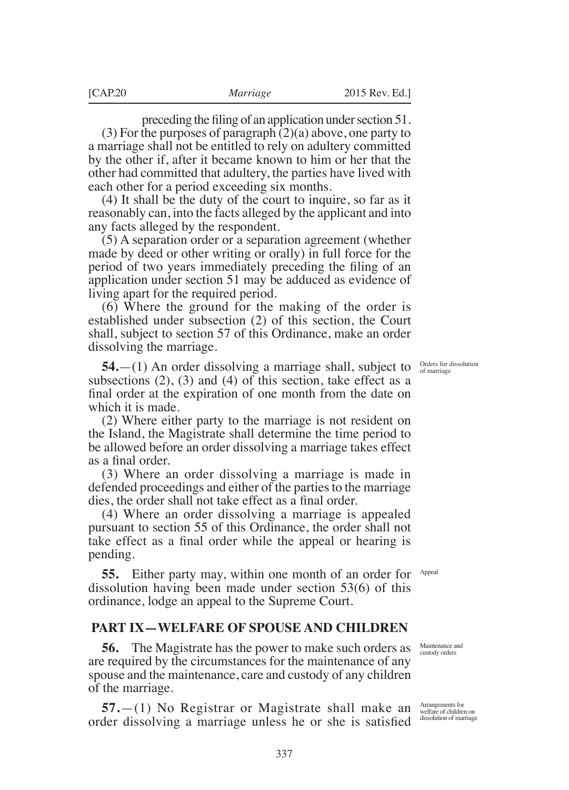preceding the fling of an application under section 51.

(3) For the purposes of paragraph (2)(a) above, one party to a marriage shall not be entitled to rely on adultery committed by the other if, after it became known to him or her that the other had committed that adultery, the parties have lived with each other for a period exceeding six months.

(4) It shall be the duty of the court to inquire, so far as it reasonably can, into the facts alleged by the applicant and into any facts alleged by the respondent.

(5) A separation order or a separation agreement (whether made by deed or other writing or orally) in full force for the period of two years immediately preceding the fling of an application under section 51 may be adduced as evidence of living apart for the required period.

(6) Where the ground for the making of the order is established under subsection (2) of this section, the Court shall, subject to section 57 of this Ordinance, make an order dissolving the marriage.

**54.**—(1) An order dissolving a marriage shall, subject to subsections (2), (3) and (4) of this section, take effect as a fnal order at the expiration of one month from the date on which it is made.

(2) Where either party to the marriage is not resident on the Island, the Magistrate shall determine the time period to be allowed before an order dissolving a marriage takes effect as a fnal order.

(3) Where an order dissolving a marriage is made in defended proceedings and either of the parties to the marriage dies, the order shall not take effect as a fnal order.

(4) Where an order dissolving a marriage is appealed pursuant to section 55 of this Ordinance, the order shall not take effect as a fnal order while the appeal or hearing is pending.

**55.** Either party may, within one month of an order for Appeal dissolution having been made under section 53(6) of this ordinance, lodge an appeal to the Supreme Court.

# **PART IX—WELFARE OF SPOUSE AND CHILDREN**

**56.** The Magistrate has the power to make such orders as are required by the circumstances for the maintenance of any spouse and the maintenance, care and custody of any children of the marriage.

**57.**—(1) No Registrar or Magistrate shall make an order dissolving a marriage unless he or she is satisfed

Orders for dissolution of marriage

Maintenance and custody orders

Arrangements for welfare of children on dissolution of marriage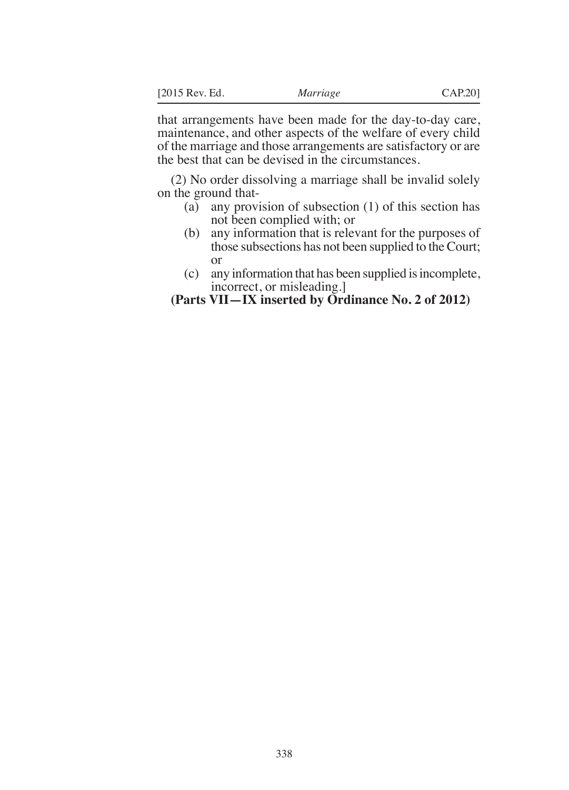|  | [2015 Rev. Ed. |  |
|--|----------------|--|
|--|----------------|--|

that arrangements have been made for the day-to-day care, maintenance, and other aspects of the welfare of every child of the marriage and those arrangements are satisfactory or are the best that can be devised in the circumstances.

(2) No order dissolving a marriage shall be invalid solely on the ground that-

- (a) any provision of subsection  $(1)$  of this section has not been complied with; or
- (b) any information that is relevant for the purposes of those subsections has not been supplied to the Court; or
- (c) any information that has been supplied is incomplete, incorrect, or misleading.]

**(Parts VII—IX inserted by Ordinance No. 2 of 2012)**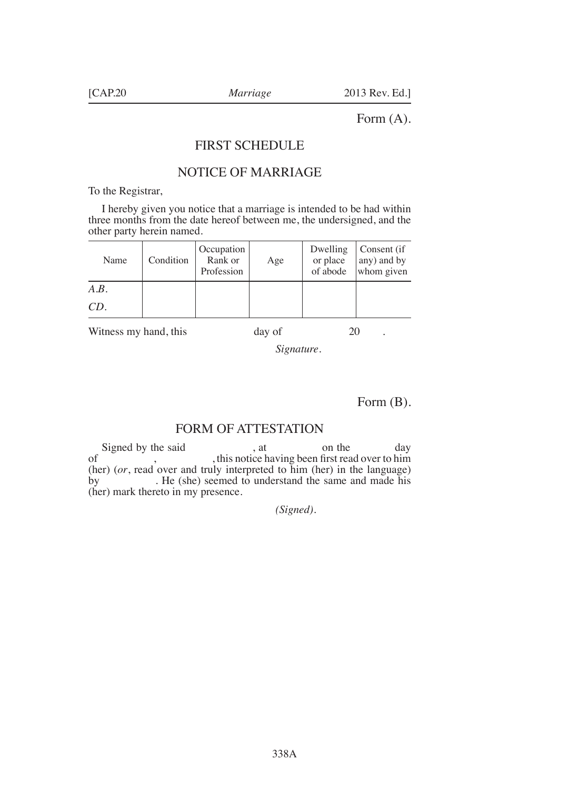Form (A).

# FIRST SCHEDULE

## NOTICE OF MARRIAGE

To the Registrar,

I hereby given you notice that a marriage is intended to be had within three months from the date hereof between me, the undersigned, and the other party herein named.

| Name | Condition | Occupation<br>Rank or<br>Profession | Age | Dwelling<br>or place<br>of abode | Consent (if<br>any) and by<br>whom given |
|------|-----------|-------------------------------------|-----|----------------------------------|------------------------------------------|
| A.B. |           |                                     |     |                                  |                                          |
| CD.  |           |                                     |     |                                  |                                          |
|      |           |                                     |     |                                  |                                          |

Witness my hand, this day of 20 .



*Signature.*

Form (B).

# FORM OF ATTESTATION

Signed by the said and the contract on the day of , this notice having been first read over to him (her) (*or*, read over and truly interpreted to him (her) in the language) by . He (she) seemed to understand the same and made his by . He (she) seemed to understand the same and made his (her) mark thereto in my presence.

*(Signed)*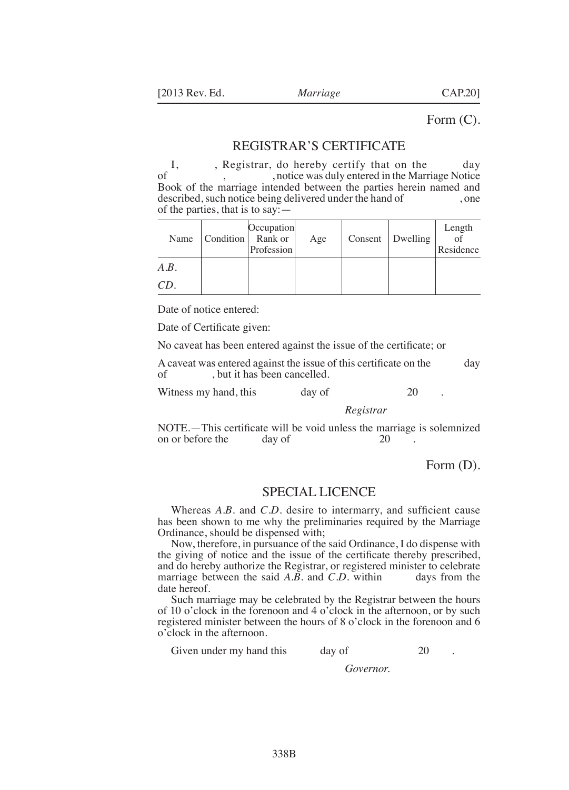## Form (C).

## REGISTRAR'S CERTIFICATE

I, Registrar, do hereby certify that on the day of , , , , , notice was duly entered in the Marriage Notice Book of the marriage intended between the parties herein named and described, such notice being delivered under the hand of , one of the parties, that is to say:—

| Name | Occupation<br>Condition   Rank or<br>Profession | Age | Consent   Dwelling | Length<br>Residence |
|------|-------------------------------------------------|-----|--------------------|---------------------|
| A.B. |                                                 |     |                    |                     |
| CD.  |                                                 |     |                    |                     |

Date of notice entered:

Date of Certifcate given:

No caveat has been entered against the issue of the certifcate; or

A caveat was entered against the issue of this certifcate on the day of , but it has been cancelled.

Witness my hand, this day of 20

*Registrar*

NOTE.—This certifcate will be void unless the marriage is solemnized on or before the day of 20

Form (D).

#### SPECIAL LICENCE

Whereas A.B. and C.D. desire to intermarry, and sufficient cause has been shown to me why the preliminaries required by the Marriage Ordinance, should be dispensed with;

Now, therefore, in pursuance of the said Ordinance, I do dispense with the giving of notice and the issue of the certifcate thereby prescribed, and do hereby authorize the Registrar, or registered minister to celebrate marriage between the said  $A.\overline{B}$  and  $C.D$  within days from the date hereof.

Such marriage may be celebrated by the Registrar between the hours of 10 o'clock in the forenoon and 4 o'clock in the afternoon, or by such registered minister between the hours of 8 o'clock in the forenoon and 6 o'clock in the afternoon.

Given under my hand this day of 20

*Governor.*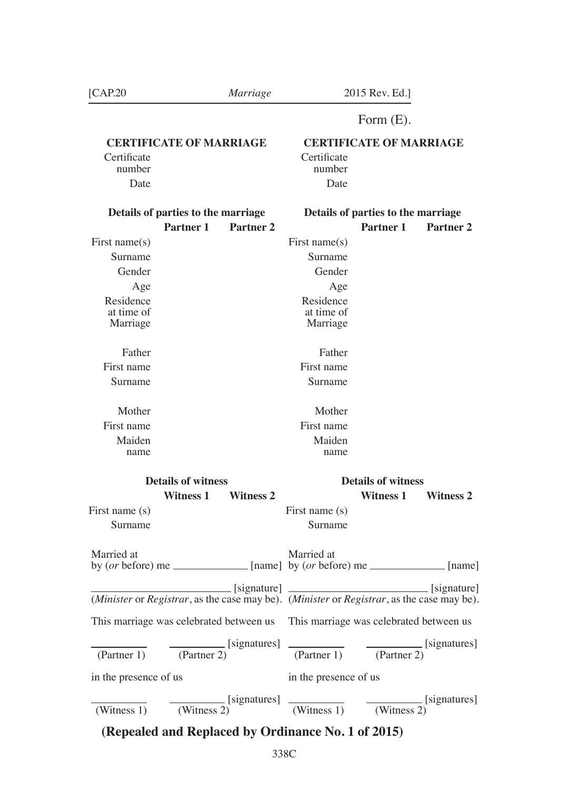| [CAP.20                                                                                   |                                    | Marriage             |                                         | 2015 Rev. Ed.]                     |                      |
|-------------------------------------------------------------------------------------------|------------------------------------|----------------------|-----------------------------------------|------------------------------------|----------------------|
|                                                                                           |                                    |                      |                                         | Form $(E)$ .                       |                      |
|                                                                                           | <b>CERTIFICATE OF MARRIAGE</b>     |                      |                                         | <b>CERTIFICATE OF MARRIAGE</b>     |                      |
| Certificate<br>number                                                                     |                                    |                      | Certificate<br>number                   |                                    |                      |
| Date                                                                                      |                                    |                      | Date                                    |                                    |                      |
|                                                                                           |                                    |                      |                                         |                                    |                      |
|                                                                                           | Details of parties to the marriage |                      |                                         | Details of parties to the marriage |                      |
|                                                                                           | Partner 1                          | Partner <sub>2</sub> |                                         | Partner 1                          | Partner <sub>2</sub> |
| First name(s)                                                                             |                                    |                      | First name(s)                           |                                    |                      |
| Surname                                                                                   |                                    |                      | Surname                                 |                                    |                      |
| Gender                                                                                    |                                    |                      | Gender                                  |                                    |                      |
| Age                                                                                       |                                    |                      | Age                                     |                                    |                      |
| Residence                                                                                 |                                    |                      | Residence                               |                                    |                      |
| at time of                                                                                |                                    |                      | at time of                              |                                    |                      |
| Marriage                                                                                  |                                    |                      | Marriage                                |                                    |                      |
|                                                                                           |                                    |                      |                                         |                                    |                      |
| Father                                                                                    |                                    |                      | Father                                  |                                    |                      |
| First name                                                                                |                                    |                      | First name                              |                                    |                      |
| Surname                                                                                   |                                    |                      | Surname                                 |                                    |                      |
|                                                                                           |                                    |                      |                                         |                                    |                      |
| Mother                                                                                    |                                    |                      | Mother                                  |                                    |                      |
| First name                                                                                |                                    |                      | First name                              |                                    |                      |
| Maiden<br>name                                                                            |                                    |                      | Maiden<br>name                          |                                    |                      |
|                                                                                           |                                    |                      |                                         |                                    |                      |
|                                                                                           | <b>Details of witness</b>          |                      |                                         | <b>Details of witness</b>          |                      |
|                                                                                           | <b>Witness 1</b>                   | <b>Witness 2</b>     |                                         | <b>Witness 1</b>                   | <b>Witness 2</b>     |
| First name (s)                                                                            |                                    |                      | First name (s)                          |                                    |                      |
| Surname                                                                                   |                                    |                      | Surname                                 |                                    |                      |
|                                                                                           |                                    |                      |                                         |                                    |                      |
| Married at                                                                                |                                    |                      | Married at                              |                                    |                      |
| by (or before) me _____________ [name] by (or before) me ______________ [name]            |                                    |                      |                                         |                                    |                      |
|                                                                                           |                                    |                      |                                         |                                    |                      |
| (Minister or Registrar, as the case may be). (Minister or Registrar, as the case may be). |                                    |                      |                                         |                                    |                      |
| This marriage was celebrated between us                                                   |                                    |                      | This marriage was celebrated between us |                                    |                      |
|                                                                                           |                                    | [signatures]         |                                         |                                    | [signatures]         |
| (Partner 1)                                                                               | (Partner 2)                        |                      | (Partner 1)                             | (Partner 2)                        |                      |
| in the presence of us                                                                     |                                    |                      | in the presence of us                   |                                    |                      |
|                                                                                           |                                    | _ [signatures]       |                                         |                                    | [signatures]         |
| (Witness 1)                                                                               | (Witness 2)                        |                      | (Witness 1)                             | (Witness 2)                        |                      |
|                                                                                           |                                    |                      |                                         |                                    |                      |

# **(Repealed and Replaced by Ordinance No. 1 of 2015)**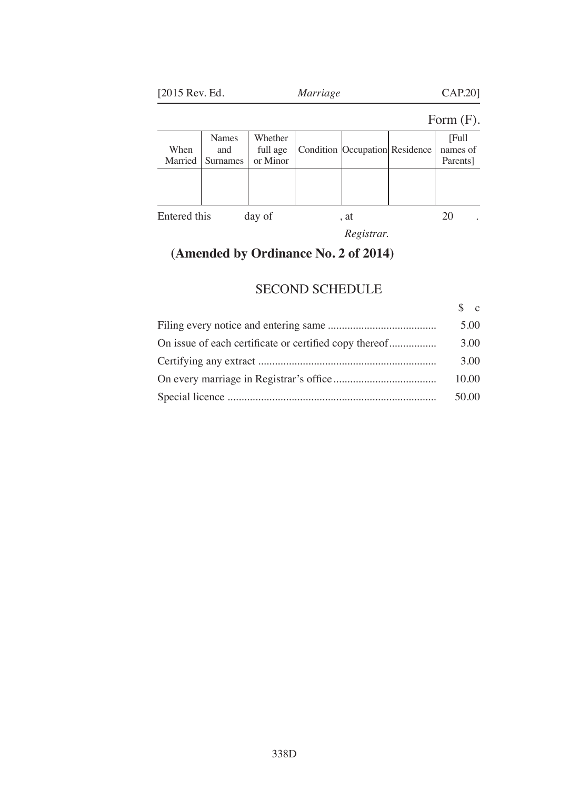| [2015 Rev. Ed.  |                                        | <i>Marriage</i>                 |  | CAP.201                            |  |                                            |
|-----------------|----------------------------------------|---------------------------------|--|------------------------------------|--|--------------------------------------------|
|                 |                                        |                                 |  |                                    |  | Form $(F)$ .                               |
| When<br>Married | <b>Names</b><br>and<br><b>Surnames</b> | Whether<br>full age<br>or Minor |  | Condition   Occupation   Residence |  | [Full]<br>names of<br>Parents <sup>1</sup> |
| Entered this    |                                        | day of                          |  | , at<br>Registrar.                 |  | 20                                         |

# **(Amended by Ordinance No. 2 of 2014)**

# SECOND SCHEDULE

 $\sqrt{$}$  c

|                                                        | 5.00  |
|--------------------------------------------------------|-------|
| On issue of each certificate or certified copy thereof | 3.00  |
|                                                        | 3.00  |
|                                                        | 10.00 |
|                                                        | 50.00 |
|                                                        |       |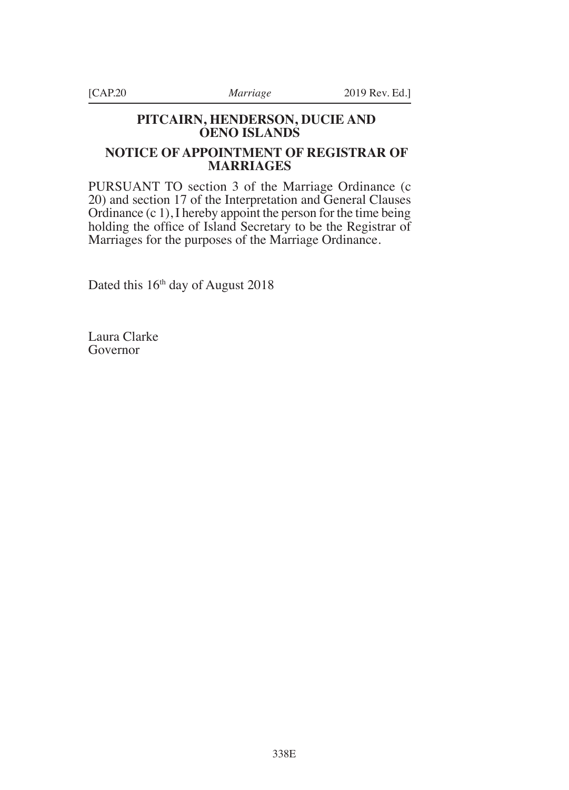## **PITCAIRN, HENDERSON, DUCIE AND OENO ISLANDS**

# **NOTICE OF APPOINTMENT OF REGISTRAR OF MARRIAGES**

PURSUANT TO section 3 of the Marriage Ordinance (c 20) and section 17 of the Interpretation and General Clauses Ordinance (c 1), I hereby appoint the person for the time being holding the office of Island Secretary to be the Registrar of Marriages for the purposes of the Marriage Ordinance.

Dated this 16<sup>th</sup> day of August 2018

Laura Clarke Governor